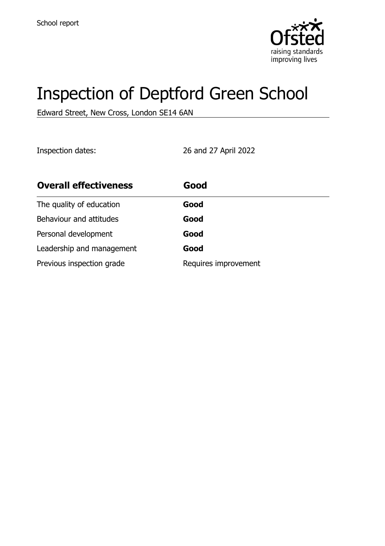

# Inspection of Deptford Green School

Edward Street, New Cross, London SE14 6AN

Inspection dates: 26 and 27 April 2022

| <b>Overall effectiveness</b> | Good                 |
|------------------------------|----------------------|
| The quality of education     | Good                 |
| Behaviour and attitudes      | Good                 |
| Personal development         | Good                 |
| Leadership and management    | Good                 |
| Previous inspection grade    | Requires improvement |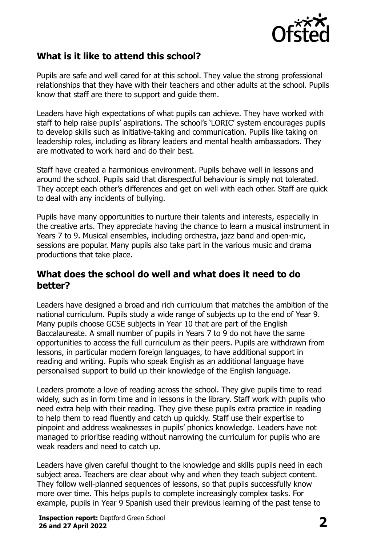

#### **What is it like to attend this school?**

Pupils are safe and well cared for at this school. They value the strong professional relationships that they have with their teachers and other adults at the school. Pupils know that staff are there to support and guide them.

Leaders have high expectations of what pupils can achieve. They have worked with staff to help raise pupils' aspirations. The school's 'LORIC' system encourages pupils to develop skills such as initiative-taking and communication. Pupils like taking on leadership roles, including as library leaders and mental health ambassadors. They are motivated to work hard and do their best.

Staff have created a harmonious environment. Pupils behave well in lessons and around the school. Pupils said that disrespectful behaviour is simply not tolerated. They accept each other's differences and get on well with each other. Staff are quick to deal with any incidents of bullying.

Pupils have many opportunities to nurture their talents and interests, especially in the creative arts. They appreciate having the chance to learn a musical instrument in Years 7 to 9. Musical ensembles, including orchestra, jazz band and open-mic, sessions are popular. Many pupils also take part in the various music and drama productions that take place.

#### **What does the school do well and what does it need to do better?**

Leaders have designed a broad and rich curriculum that matches the ambition of the national curriculum. Pupils study a wide range of subjects up to the end of Year 9. Many pupils choose GCSE subjects in Year 10 that are part of the English Baccalaureate. A small number of pupils in Years 7 to 9 do not have the same opportunities to access the full curriculum as their peers. Pupils are withdrawn from lessons, in particular modern foreign languages, to have additional support in reading and writing. Pupils who speak English as an additional language have personalised support to build up their knowledge of the English language.

Leaders promote a love of reading across the school. They give pupils time to read widely, such as in form time and in lessons in the library. Staff work with pupils who need extra help with their reading. They give these pupils extra practice in reading to help them to read fluently and catch up quickly. Staff use their expertise to pinpoint and address weaknesses in pupils' phonics knowledge. Leaders have not managed to prioritise reading without narrowing the curriculum for pupils who are weak readers and need to catch up.

Leaders have given careful thought to the knowledge and skills pupils need in each subject area. Teachers are clear about why and when they teach subject content. They follow well-planned sequences of lessons, so that pupils successfully know more over time. This helps pupils to complete increasingly complex tasks. For example, pupils in Year 9 Spanish used their previous learning of the past tense to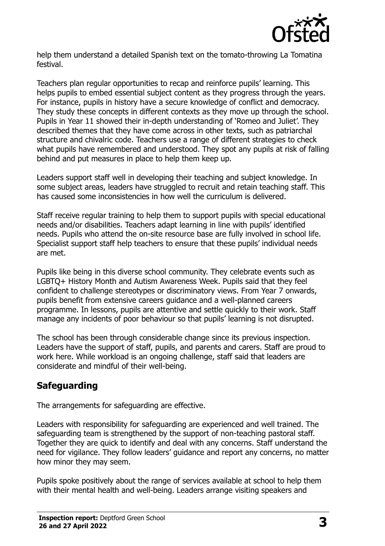

help them understand a detailed Spanish text on the tomato-throwing La Tomatina festival.

Teachers plan regular opportunities to recap and reinforce pupils' learning. This helps pupils to embed essential subject content as they progress through the years. For instance, pupils in history have a secure knowledge of conflict and democracy. They study these concepts in different contexts as they move up through the school. Pupils in Year 11 showed their in-depth understanding of 'Romeo and Juliet'. They described themes that they have come across in other texts, such as patriarchal structure and chivalric code. Teachers use a range of different strategies to check what pupils have remembered and understood. They spot any pupils at risk of falling behind and put measures in place to help them keep up.

Leaders support staff well in developing their teaching and subject knowledge. In some subject areas, leaders have struggled to recruit and retain teaching staff. This has caused some inconsistencies in how well the curriculum is delivered.

Staff receive regular training to help them to support pupils with special educational needs and/or disabilities. Teachers adapt learning in line with pupils' identified needs. Pupils who attend the on-site resource base are fully involved in school life. Specialist support staff help teachers to ensure that these pupils' individual needs are met.

Pupils like being in this diverse school community. They celebrate events such as LGBTQ+ History Month and Autism Awareness Week. Pupils said that they feel confident to challenge stereotypes or discriminatory views. From Year 7 onwards, pupils benefit from extensive careers guidance and a well-planned careers programme. In lessons, pupils are attentive and settle quickly to their work. Staff manage any incidents of poor behaviour so that pupils' learning is not disrupted.

The school has been through considerable change since its previous inspection. Leaders have the support of staff, pupils, and parents and carers. Staff are proud to work here. While workload is an ongoing challenge, staff said that leaders are considerate and mindful of their well-being.

# **Safeguarding**

The arrangements for safeguarding are effective.

Leaders with responsibility for safeguarding are experienced and well trained. The safeguarding team is strengthened by the support of non-teaching pastoral staff. Together they are quick to identify and deal with any concerns. Staff understand the need for vigilance. They follow leaders' guidance and report any concerns, no matter how minor they may seem.

Pupils spoke positively about the range of services available at school to help them with their mental health and well-being. Leaders arrange visiting speakers and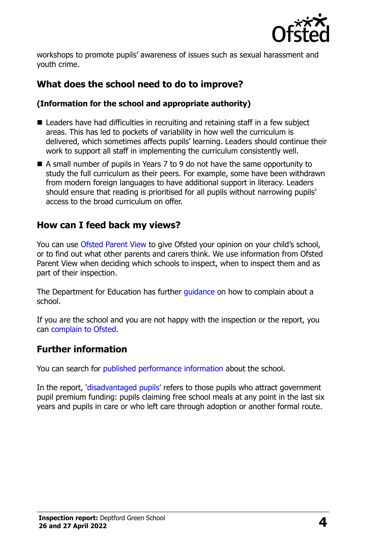

workshops to promote pupils' awareness of issues such as sexual harassment and youth crime.

## **What does the school need to do to improve?**

#### **(Information for the school and appropriate authority)**

- Leaders have had difficulties in recruiting and retaining staff in a few subject areas. This has led to pockets of variability in how well the curriculum is delivered, which sometimes affects pupils' learning. Leaders should continue their work to support all staff in implementing the curriculum consistently well.
- A small number of pupils in Years 7 to 9 do not have the same opportunity to study the full curriculum as their peers. For example, some have been withdrawn from modern foreign languages to have additional support in literacy. Leaders should ensure that reading is prioritised for all pupils without narrowing pupils' access to the broad curriculum on offer.

#### **How can I feed back my views?**

You can use [Ofsted Parent View](http://parentview.ofsted.gov.uk/) to give Ofsted your opinion on your child's school, or to find out what other parents and carers think. We use information from Ofsted Parent View when deciding which schools to inspect, when to inspect them and as part of their inspection.

The Department for Education has further [guidance](http://www.gov.uk/complain-about-school) on how to complain about a school.

If you are the school and you are not happy with the inspection or the report, you can [complain to Ofsted.](http://www.gov.uk/complain-ofsted-report)

#### **Further information**

You can search for [published performance information](http://www.compare-school-performance.service.gov.uk/) about the school.

In the report, '[disadvantaged pupils](http://www.gov.uk/guidance/pupil-premium-information-for-schools-and-alternative-provision-settings)' refers to those pupils who attract government pupil premium funding: pupils claiming free school meals at any point in the last six years and pupils in care or who left care through adoption or another formal route.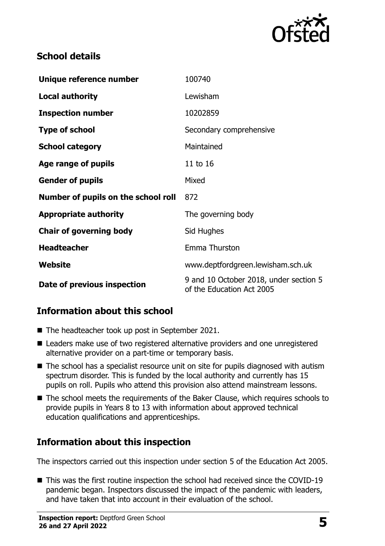

## **School details**

| Unique reference number             | 100740                                                              |  |
|-------------------------------------|---------------------------------------------------------------------|--|
| <b>Local authority</b>              | Lewisham                                                            |  |
| <b>Inspection number</b>            | 10202859                                                            |  |
| <b>Type of school</b>               | Secondary comprehensive                                             |  |
| <b>School category</b>              | Maintained                                                          |  |
| Age range of pupils                 | 11 to 16                                                            |  |
| <b>Gender of pupils</b>             | Mixed                                                               |  |
| Number of pupils on the school roll | 872                                                                 |  |
| <b>Appropriate authority</b>        | The governing body                                                  |  |
| <b>Chair of governing body</b>      | Sid Hughes                                                          |  |
| <b>Headteacher</b>                  | Emma Thurston                                                       |  |
| Website                             | www.deptfordgreen.lewisham.sch.uk                                   |  |
| Date of previous inspection         | 9 and 10 October 2018, under section 5<br>of the Education Act 2005 |  |

## **Information about this school**

- The headteacher took up post in September 2021.
- Leaders make use of two registered alternative providers and one unregistered alternative provider on a part-time or temporary basis.
- The school has a specialist resource unit on site for pupils diagnosed with autism spectrum disorder. This is funded by the local authority and currently has 15 pupils on roll. Pupils who attend this provision also attend mainstream lessons.
- The school meets the requirements of the Baker Clause, which requires schools to provide pupils in Years 8 to 13 with information about approved technical education qualifications and apprenticeships.

## **Information about this inspection**

The inspectors carried out this inspection under section 5 of the Education Act 2005.

■ This was the first routine inspection the school had received since the COVID-19 pandemic began. Inspectors discussed the impact of the pandemic with leaders, and have taken that into account in their evaluation of the school.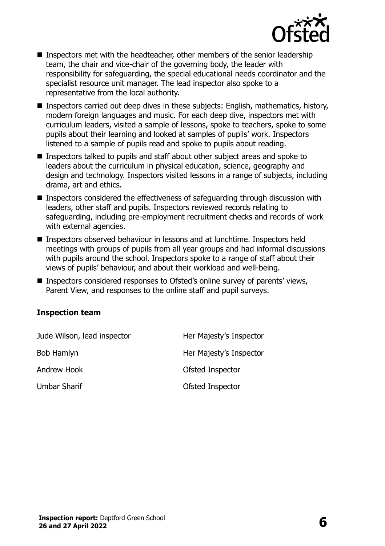

- Inspectors met with the headteacher, other members of the senior leadership team, the chair and vice-chair of the governing body, the leader with responsibility for safeguarding, the special educational needs coordinator and the specialist resource unit manager. The lead inspector also spoke to a representative from the local authority.
- Inspectors carried out deep dives in these subjects: English, mathematics, history, modern foreign languages and music. For each deep dive, inspectors met with curriculum leaders, visited a sample of lessons, spoke to teachers, spoke to some pupils about their learning and looked at samples of pupils' work. Inspectors listened to a sample of pupils read and spoke to pupils about reading.
- Inspectors talked to pupils and staff about other subject areas and spoke to leaders about the curriculum in physical education, science, geography and design and technology. Inspectors visited lessons in a range of subjects, including drama, art and ethics.
- Inspectors considered the effectiveness of safeguarding through discussion with leaders, other staff and pupils. Inspectors reviewed records relating to safeguarding, including pre-employment recruitment checks and records of work with external agencies.
- Inspectors observed behaviour in lessons and at lunchtime. Inspectors held meetings with groups of pupils from all year groups and had informal discussions with pupils around the school. Inspectors spoke to a range of staff about their views of pupils' behaviour, and about their workload and well-being.
- Inspectors considered responses to Ofsted's online survey of parents' views, Parent View, and responses to the online staff and pupil surveys.

#### **Inspection team**

| Jude Wilson, lead inspector | Her Majesty's Inspector |
|-----------------------------|-------------------------|
| Bob Hamlyn                  | Her Majesty's Inspector |
| Andrew Hook                 | Ofsted Inspector        |
| <b>Umbar Sharif</b>         | Ofsted Inspector        |